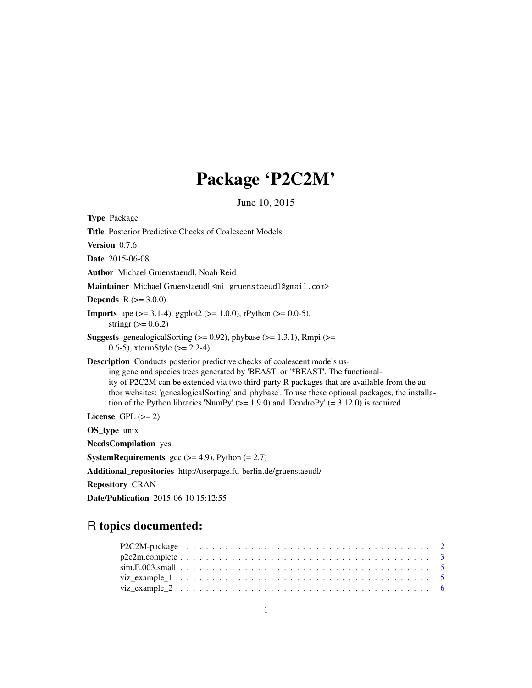## Package 'P2C2M'

June 10, 2015

Type Package Title Posterior Predictive Checks of Coalescent Models Version 0.7.6 Date 2015-06-08 Author Michael Gruenstaeudl, Noah Reid Maintainer Michael Gruenstaeudl <mi.gruenstaeudl@gmail.com> **Depends**  $R$  ( $>= 3.0.0$ ) **Imports** ape ( $>= 3.1-4$ ), ggplot2 ( $>= 1.0.0$ ), rPython ( $>= 0.0-5$ ), stringr  $(>= 0.6.2)$ **Suggests** genealogicalSorting  $(>= 0.92)$ , phybase  $(>= 1.3.1)$ , Rmpi  $(>= 1.3.1)$ 0.6-5), xtermStyle  $(>= 2.2-4)$ Description Conducts posterior predictive checks of coalescent models using gene and species trees generated by 'BEAST' or '\*BEAST'. The functionality of P2C2M can be extended via two third-party R packages that are available from the author websites: 'genealogicalSorting' and 'phybase'. To use these optional packages, the installation of the Python libraries 'NumPy' ( $> = 1.9.0$ ) and 'DendroPy' ( $= 3.12.0$ ) is required. License GPL  $(>= 2)$ OS\_type unix NeedsCompilation yes **SystemRequirements** gcc  $(>= 4.9)$ , Python  $(= 2.7)$ Additional\_repositories http://userpage.fu-berlin.de/gruenstaeudl/

Repository CRAN

Date/Publication 2015-06-10 15:12:55

### R topics documented: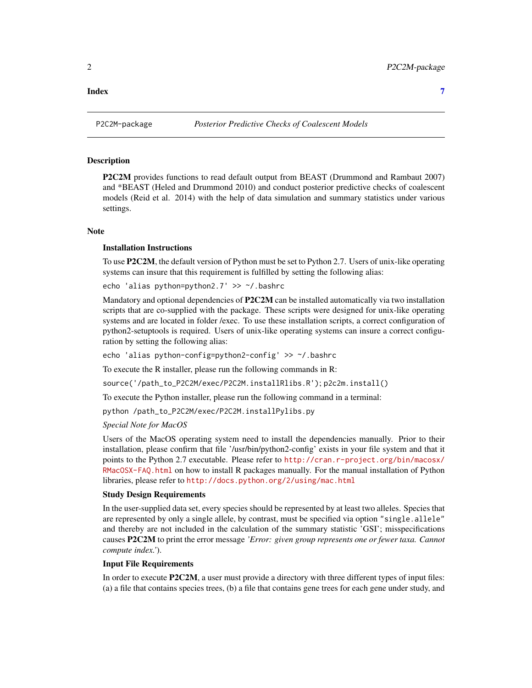<span id="page-1-0"></span>

#### **Description**

P2C2M provides functions to read default output from BEAST (Drummond and Rambaut 2007) and \*BEAST (Heled and Drummond 2010) and conduct posterior predictive checks of coalescent models (Reid et al. 2014) with the help of data simulation and summary statistics under various settings.

#### Note

#### Installation Instructions

To use P2C2M, the default version of Python must be set to Python 2.7. Users of unix-like operating systems can insure that this requirement is fulfilled by setting the following alias:

echo 'alias python=python2.7' >> ~/.bashrc

Mandatory and optional dependencies of P2C2M can be installed automatically via two installation scripts that are co-supplied with the package. These scripts were designed for unix-like operating systems and are located in folder /exec. To use these installation scripts, a correct configuration of python2-setuptools is required. Users of unix-like operating systems can insure a correct configuration by setting the following alias:

echo 'alias python-config=python2-config' >> ~/.bashrc

To execute the R installer, please run the following commands in R:

source('/path\_to\_P2C2M/exec/P2C2M.installRlibs.R'); p2c2m.install()

To execute the Python installer, please run the following command in a terminal:

python /path\_to\_P2C2M/exec/P2C2M.installPylibs.py

#### *Special Note for MacOS*

Users of the MacOS operating system need to install the dependencies manually. Prior to their installation, please confirm that file '/usr/bin/python2-config' exists in your file system and that it points to the Python 2.7 executable. Please refer to [http://cran.r-project.org/bin/macosx/](http://cran.r-project.org/bin/macosx/RMacOSX-FAQ.html) [RMacOSX-FAQ.html](http://cran.r-project.org/bin/macosx/RMacOSX-FAQ.html) on how to install R packages manually. For the manual installation of Python libraries, please refer to <http://docs.python.org/2/using/mac.html>

#### Study Design Requirements

In the user-supplied data set, every species should be represented by at least two alleles. Species that are represented by only a single allele, by contrast, must be specified via option "single.allele" and thereby are not included in the calculation of the summary statistic 'GSI'; misspecifications causes P2C2M to print the error message *'Error: given group represents one or fewer taxa. Cannot compute index.'*).

#### Input File Requirements

In order to execute P2C2M, a user must provide a directory with three different types of input files: (a) a file that contains species trees, (b) a file that contains gene trees for each gene under study, and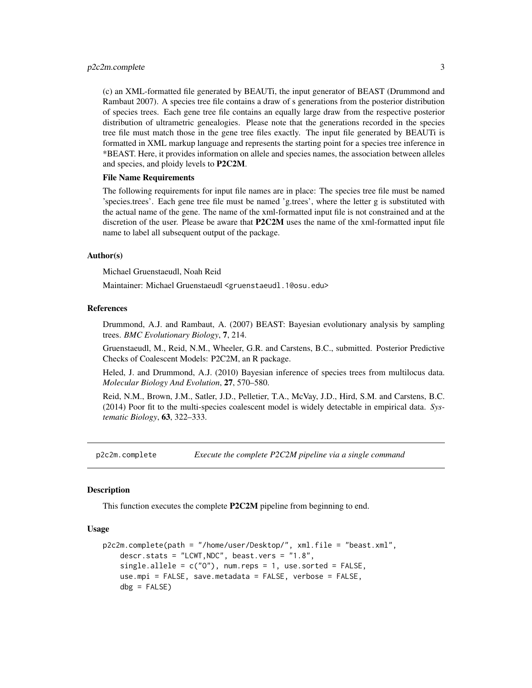#### <span id="page-2-0"></span>p2c2m.complete 3

(c) an XML-formatted file generated by BEAUTi, the input generator of BEAST (Drummond and Rambaut 2007). A species tree file contains a draw of s generations from the posterior distribution of species trees. Each gene tree file contains an equally large draw from the respective posterior distribution of ultrametric genealogies. Please note that the generations recorded in the species tree file must match those in the gene tree files exactly. The input file generated by BEAUTi is formatted in XML markup language and represents the starting point for a species tree inference in \*BEAST. Here, it provides information on allele and species names, the association between alleles and species, and ploidy levels to P2C2M.

#### File Name Requirements

The following requirements for input file names are in place: The species tree file must be named 'species.trees'. Each gene tree file must be named 'g.trees', where the letter g is substituted with the actual name of the gene. The name of the xml-formatted input file is not constrained and at the discretion of the user. Please be aware that **P2C2M** uses the name of the xml-formatted input file name to label all subsequent output of the package.

#### Author(s)

Michael Gruenstaeudl, Noah Reid

Maintainer: Michael Gruenstaeudl <gruenstaeudl.1@osu.edu>

#### References

Drummond, A.J. and Rambaut, A. (2007) BEAST: Bayesian evolutionary analysis by sampling trees. *BMC Evolutionary Biology*, 7, 214.

Gruenstaeudl, M., Reid, N.M., Wheeler, G.R. and Carstens, B.C., submitted. Posterior Predictive Checks of Coalescent Models: P2C2M, an R package.

Heled, J. and Drummond, A.J. (2010) Bayesian inference of species trees from multilocus data. *Molecular Biology And Evolution*, 27, 570–580.

Reid, N.M., Brown, J.M., Satler, J.D., Pelletier, T.A., McVay, J.D., Hird, S.M. and Carstens, B.C. (2014) Poor fit to the multi-species coalescent model is widely detectable in empirical data. *Systematic Biology*, 63, 322–333.

p2c2m.complete *Execute the complete P2C2M pipeline via a single command*

#### **Description**

This function executes the complete P2C2M pipeline from beginning to end.

#### Usage

```
p2c2m.complete(path = "/home/user/Desktop/", xml.file = "beast.xml",
   descr.stats = "LCWT,NDC", beast.vers = "1.8",
    single.allele = c("0"), num.reps = 1, use.sorted = FALSE,
   use.mpi = FALSE, save.metadata = FALSE, verbose = FALSE,
   dbg = FALSE
```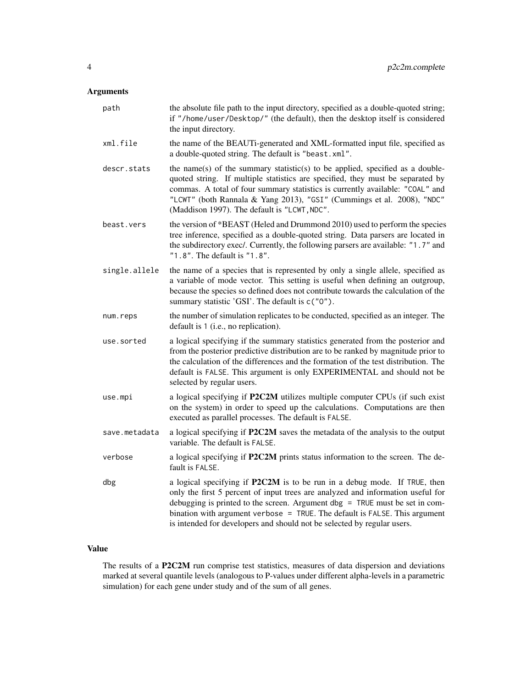#### Arguments

| path          | the absolute file path to the input directory, specified as a double-quoted string;<br>if "/home/user/Desktop/" (the default), then the desktop itself is considered<br>the input directory.                                                                                                                                                                                                           |
|---------------|--------------------------------------------------------------------------------------------------------------------------------------------------------------------------------------------------------------------------------------------------------------------------------------------------------------------------------------------------------------------------------------------------------|
| xml.file      | the name of the BEAUTi-generated and XML-formatted input file, specified as<br>a double-quoted string. The default is "beast.xml".                                                                                                                                                                                                                                                                     |
| descr.stats   | the name(s) of the summary statistic(s) to be applied, specified as a double-<br>quoted string. If multiple statistics are specified, they must be separated by<br>commas. A total of four summary statistics is currently available: "COAL" and<br>"LCWT" (both Rannala & Yang 2013), "GSI" (Cummings et al. 2008), "NDC"<br>(Maddison 1997). The default is "LCWT, NDC".                             |
| beast.vers    | the version of *BEAST (Heled and Drummond 2010) used to perform the species<br>tree inference, specified as a double-quoted string. Data parsers are located in<br>the subdirectory exec/. Currently, the following parsers are available: "1.7" and<br>"1.8". The default is "1.8".                                                                                                                   |
| single.allele | the name of a species that is represented by only a single allele, specified as<br>a variable of mode vector. This setting is useful when defining an outgroup,<br>because the species so defined does not contribute towards the calculation of the<br>summary statistic 'GSI'. The default is c("0").                                                                                                |
| num.reps      | the number of simulation replicates to be conducted, specified as an integer. The<br>default is 1 (i.e., no replication).                                                                                                                                                                                                                                                                              |
| use.sorted    | a logical specifying if the summary statistics generated from the posterior and<br>from the posterior predictive distribution are to be ranked by magnitude prior to<br>the calculation of the differences and the formation of the test distribution. The<br>default is FALSE. This argument is only EXPERIMENTAL and should not be<br>selected by regular users.                                     |
| use.mpi       | a logical specifying if P2C2M utilizes multiple computer CPUs (if such exist<br>on the system) in order to speed up the calculations. Computations are then<br>executed as parallel processes. The default is FALSE.                                                                                                                                                                                   |
| save.metadata | a logical specifying if P2C2M saves the metadata of the analysis to the output<br>variable. The default is FALSE.                                                                                                                                                                                                                                                                                      |
| verbose       | a logical specifying if P2C2M prints status information to the screen. The de-<br>fault is FALSE.                                                                                                                                                                                                                                                                                                      |
| dbg           | a logical specifying if P2C2M is to be run in a debug mode. If TRUE, then<br>only the first 5 percent of input trees are analyzed and information useful for<br>debugging is printed to the screen. Argument dbg $=$ TRUE must be set in com-<br>bination with argument verbose = TRUE. The default is FALSE. This argument<br>is intended for developers and should not be selected by regular users. |

#### Value

The results of a P2C2M run comprise test statistics, measures of data dispersion and deviations marked at several quantile levels (analogous to P-values under different alpha-levels in a parametric simulation) for each gene under study and of the sum of all genes.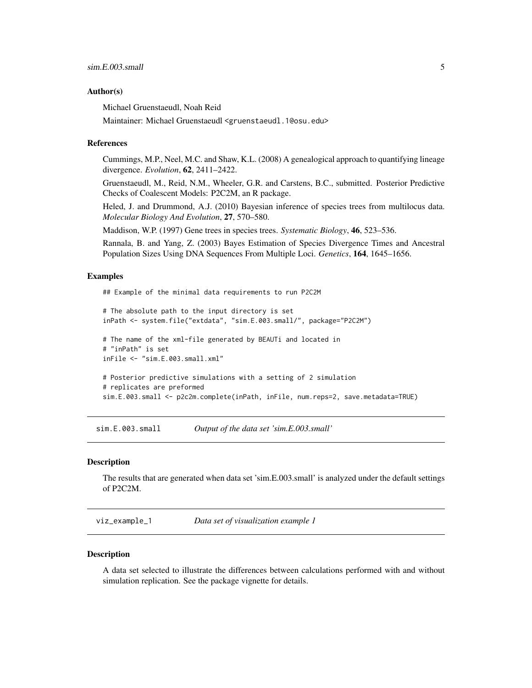#### <span id="page-4-0"></span>Author(s)

Michael Gruenstaeudl, Noah Reid

Maintainer: Michael Gruenstaeudl <gruenstaeudl.1@osu.edu>

#### References

Cummings, M.P., Neel, M.C. and Shaw, K.L. (2008) A genealogical approach to quantifying lineage divergence. *Evolution*, 62, 2411–2422.

Gruenstaeudl, M., Reid, N.M., Wheeler, G.R. and Carstens, B.C., submitted. Posterior Predictive Checks of Coalescent Models: P2C2M, an R package.

Heled, J. and Drummond, A.J. (2010) Bayesian inference of species trees from multilocus data. *Molecular Biology And Evolution*, 27, 570–580.

Maddison, W.P. (1997) Gene trees in species trees. *Systematic Biology*, 46, 523–536.

Rannala, B. and Yang, Z. (2003) Bayes Estimation of Species Divergence Times and Ancestral Population Sizes Using DNA Sequences From Multiple Loci. *Genetics*, 164, 1645–1656.

#### Examples

## Example of the minimal data requirements to run P2C2M

```
# The absolute path to the input directory is set
inPath <- system.file("extdata", "sim.E.003.small/", package="P2C2M")
# The name of the xml-file generated by BEAUTi and located in
# "inPath" is set
inFile <- "sim.E.003.small.xml"
# Posterior predictive simulations with a setting of 2 simulation
# replicates are preformed
sim.E.003.small <- p2c2m.complete(inPath, inFile, num.reps=2, save.metadata=TRUE)
```
sim.E.003.small *Output of the data set 'sim.E.003.small'*

#### Description

The results that are generated when data set 'sim.E.003.small' is analyzed under the default settings of P2C2M.

viz\_example\_1 *Data set of visualization example 1*

#### Description

A data set selected to illustrate the differences between calculations performed with and without simulation replication. See the package vignette for details.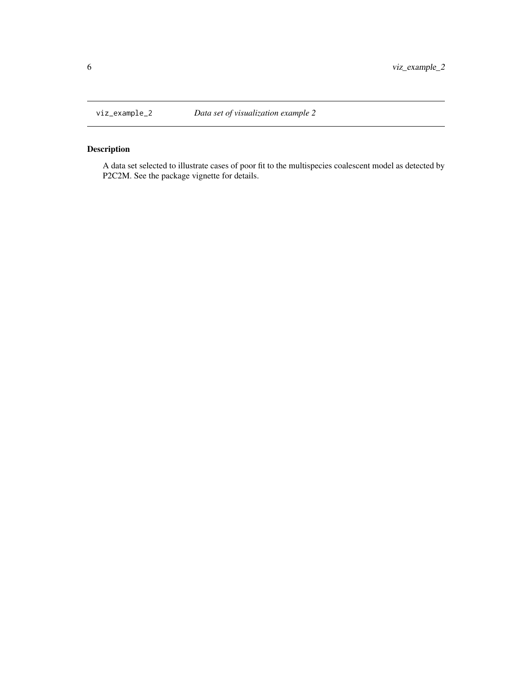<span id="page-5-0"></span>

#### Description

A data set selected to illustrate cases of poor fit to the multispecies coalescent model as detected by P2C2M. See the package vignette for details.